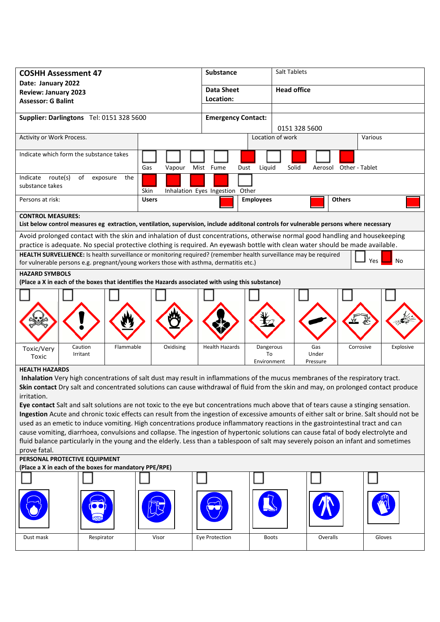| <b>COSHH Assessment 47</b>                                                                                                                                                                                                                                                |               | <b>Substance</b>                |                  | Salt Tablets           |                        |  |
|---------------------------------------------------------------------------------------------------------------------------------------------------------------------------------------------------------------------------------------------------------------------------|---------------|---------------------------------|------------------|------------------------|------------------------|--|
| Date: January 2022                                                                                                                                                                                                                                                        |               |                                 |                  | <b>Head office</b>     |                        |  |
| <b>Review: January 2023</b>                                                                                                                                                                                                                                               |               | <b>Data Sheet</b><br>Location:  |                  |                        |                        |  |
| <b>Assessor: G Balint</b>                                                                                                                                                                                                                                                 |               |                                 |                  |                        |                        |  |
| Supplier: Darlingtons Tel: 0151 328 5600                                                                                                                                                                                                                                  |               | <b>Emergency Contact:</b>       |                  |                        |                        |  |
|                                                                                                                                                                                                                                                                           |               |                                 |                  | 0151 328 5600          |                        |  |
| Activity or Work Process.                                                                                                                                                                                                                                                 |               |                                 | Location of work |                        | Various                |  |
|                                                                                                                                                                                                                                                                           |               |                                 |                  |                        |                        |  |
| Indicate which form the substance takes                                                                                                                                                                                                                                   |               |                                 |                  |                        |                        |  |
|                                                                                                                                                                                                                                                                           | Gas<br>Vapour | Mist Fume<br>Dust               | Liquid<br>Solid  | Aerosol Other - Tablet |                        |  |
| Indicate route(s)<br>of exposure<br>the                                                                                                                                                                                                                                   |               |                                 |                  |                        |                        |  |
| substance takes                                                                                                                                                                                                                                                           | Skin          | Inhalation Eyes Ingestion Other |                  |                        |                        |  |
| Persons at risk:                                                                                                                                                                                                                                                          | <b>Users</b>  |                                 | <b>Employees</b> | <b>Others</b>          |                        |  |
| <b>CONTROL MEASURES:</b>                                                                                                                                                                                                                                                  |               |                                 |                  |                        |                        |  |
| List below control measures eg extraction, ventilation, supervision, include additonal controls for vulnerable persons where necessary                                                                                                                                    |               |                                 |                  |                        |                        |  |
| Avoid prolonged contact with the skin and inhalation of dust concentrations, otherwise normal good handling and housekeeping                                                                                                                                              |               |                                 |                  |                        |                        |  |
| practice is adequate. No special protective clothing is required. An eyewash bottle with clean water should be made available.<br>HEALTH SURVELLIENCE: Is health surveillance or monitoring required? (remember health surveillance may be required                       |               |                                 |                  |                        |                        |  |
| for vulnerable persons e.g. pregnant/young workers those with asthma, dermatitis etc.)                                                                                                                                                                                    |               |                                 |                  |                        | No<br>Yes              |  |
| <b>HAZARD SYMBOLS</b><br>(Place a X in each of the boxes that identifies the Hazards associated with using this substance)                                                                                                                                                |               |                                 |                  |                        |                        |  |
|                                                                                                                                                                                                                                                                           |               |                                 |                  |                        |                        |  |
|                                                                                                                                                                                                                                                                           |               |                                 |                  |                        |                        |  |
|                                                                                                                                                                                                                                                                           |               |                                 |                  |                        |                        |  |
|                                                                                                                                                                                                                                                                           |               |                                 |                  |                        |                        |  |
|                                                                                                                                                                                                                                                                           |               |                                 |                  |                        |                        |  |
| Caution<br>Flammable<br>Toxic/Very                                                                                                                                                                                                                                        | Oxidising     | <b>Health Hazards</b>           | Dangerous        | Gas                    | Explosive<br>Corrosive |  |
| Irritant<br>Toxic                                                                                                                                                                                                                                                         |               |                                 | To               | Under                  |                        |  |
| <b>HEALTH HAZARDS</b>                                                                                                                                                                                                                                                     |               |                                 | Environment      | Pressure               |                        |  |
| Inhalation Very high concentrations of salt dust may result in inflammations of the mucus membranes of the respiratory tract.                                                                                                                                             |               |                                 |                  |                        |                        |  |
| Skin contact Dry salt and concentrated solutions can cause withdrawal of fluid from the skin and may, on prolonged contact produce                                                                                                                                        |               |                                 |                  |                        |                        |  |
| irritation.                                                                                                                                                                                                                                                               |               |                                 |                  |                        |                        |  |
| Eye contact Salt and salt solutions are not toxic to the eye but concentrations much above that of tears cause a stinging sensation.                                                                                                                                      |               |                                 |                  |                        |                        |  |
| Ingestion Acute and chronic toxic effects can result from the ingestion of excessive amounts of either salt or brine. Salt should not be                                                                                                                                  |               |                                 |                  |                        |                        |  |
| used as an emetic to induce vomiting. High concentrations produce inflammatory reactions in the gastrointestinal tract and can                                                                                                                                            |               |                                 |                  |                        |                        |  |
| cause vomiting, diarrhoea, convulsions and collapse. The ingestion of hypertonic solutions can cause fatal of body electrolyte and<br>fluid balance particularly in the young and the elderly. Less than a tablespoon of salt may severely poison an infant and sometimes |               |                                 |                  |                        |                        |  |
| prove fatal.                                                                                                                                                                                                                                                              |               |                                 |                  |                        |                        |  |
| PERSONAL PROTECTIVE EQUIPMENT                                                                                                                                                                                                                                             |               |                                 |                  |                        |                        |  |
| (Place a X in each of the boxes for mandatory PPE/RPE)                                                                                                                                                                                                                    |               |                                 |                  |                        |                        |  |
|                                                                                                                                                                                                                                                                           |               |                                 |                  |                        |                        |  |
|                                                                                                                                                                                                                                                                           |               |                                 |                  |                        |                        |  |
|                                                                                                                                                                                                                                                                           |               |                                 |                  |                        |                        |  |
|                                                                                                                                                                                                                                                                           |               |                                 |                  |                        |                        |  |
|                                                                                                                                                                                                                                                                           |               |                                 |                  |                        |                        |  |
| Respirator<br>Dust mask                                                                                                                                                                                                                                                   | Visor         | Eye Protection                  | <b>Boots</b>     | Overalls               | Gloves                 |  |
|                                                                                                                                                                                                                                                                           |               |                                 |                  |                        |                        |  |